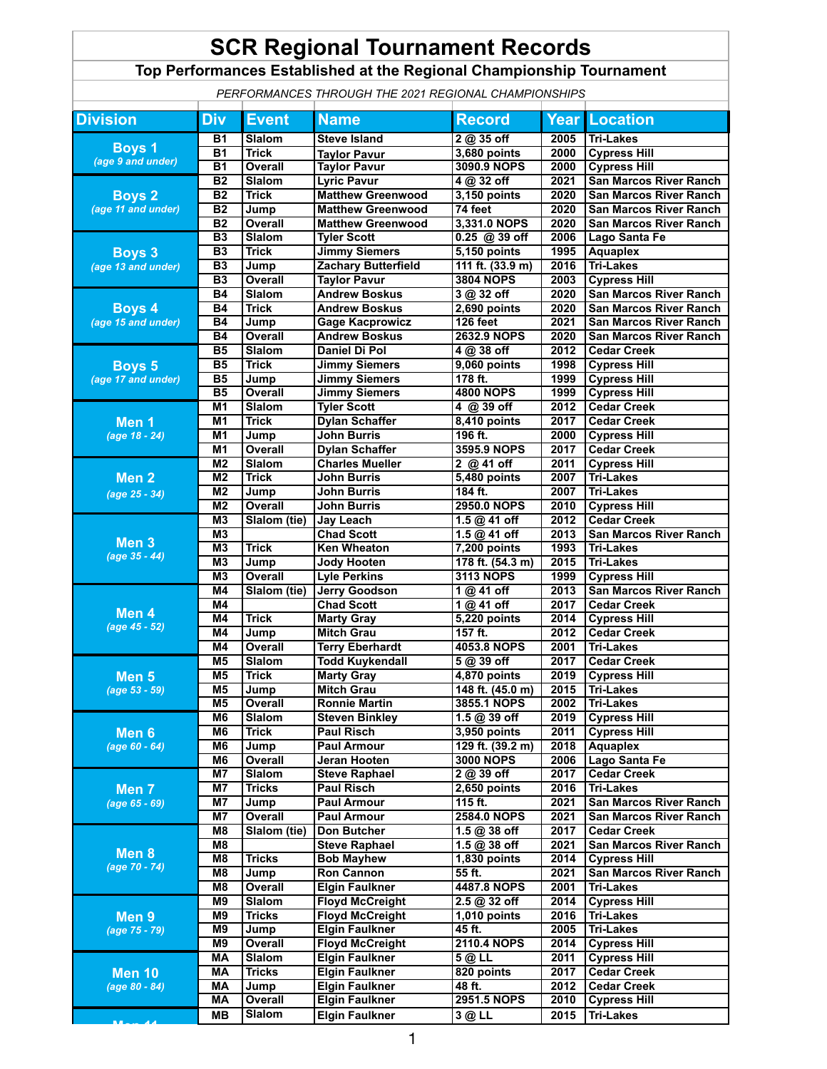## **SCR Regional Tournament Records**

## **Top Performances Established at the Regional Championship Tournament**

*PERFORMANCES THROUGH THE 2021 REGIONAL CHAMPIONSHIPS*

| <b>Division</b>                         | <b>Div</b>           | <b>Event</b>           | <b>Name</b>                              | <b>Record</b>             |              | <b>Year Location</b>                              |
|-----------------------------------------|----------------------|------------------------|------------------------------------------|---------------------------|--------------|---------------------------------------------------|
|                                         | <b>B1</b>            | <b>Slalom</b>          | <b>Steve Island</b>                      | 2 @ 35 off                | 2005         | <b>Tri-Lakes</b>                                  |
| <b>Boys 1</b><br>(age 9 and under)      | B <sub>1</sub>       | <b>Trick</b>           | <b>Taylor Pavur</b>                      | 3,680 points              | 2000         | <b>Cypress Hill</b>                               |
|                                         | $\overline{B1}$      | <b>Overall</b>         | <b>Taylor Pavur</b>                      | 3090.9 NOPS               | 2000         | <b>Cypress Hill</b>                               |
| Boys <sub>2</sub><br>(age 11 and under) | <b>B2</b>            | Slalom                 | <b>Lyric Pavur</b>                       | 4 @ 32 off                | 2021         | <b>San Marcos River Ranch</b>                     |
|                                         | B <sub>2</sub>       | <b>Trick</b>           | <b>Matthew Greenwood</b>                 | 3,150 points              | 2020         | <b>San Marcos River Ranch</b>                     |
|                                         | B <sub>2</sub>       | Jump                   | <b>Matthew Greenwood</b>                 | 74 feet                   | 2020         | <b>San Marcos River Ranch</b>                     |
|                                         | B <sub>2</sub>       | Overall                | <b>Matthew Greenwood</b>                 | 3,331.0 NOPS              | 2020         | <b>San Marcos River Ranch</b>                     |
|                                         | <b>B3</b>            | <b>Slalom</b>          | <b>Tyler Scott</b>                       | $0.25 \t@ 39$ off         | 2006         | Lago Santa Fe                                     |
| <b>Boys 3</b><br>(age 13 and under)     | B3                   | <b>Trick</b>           | <b>Jimmy Siemers</b>                     | $5,150$ points            | 1995         | <b>Aquaplex</b>                                   |
|                                         | <b>B3</b>            | Jump                   | <b>Zachary Butterfield</b>               | 111 ft. (33.9 m)          | 2016         | <b>Tri-Lakes</b>                                  |
|                                         | B3                   | <b>Overall</b>         | <b>Taylor Pavur</b>                      | <b>3804 NOPS</b>          | 2003         | <b>Cypress Hill</b>                               |
|                                         | <b>B4</b>            | Slalom                 | <b>Andrew Boskus</b>                     | 3 @ 32 off                | 2020         | <b>San Marcos River Ranch</b>                     |
| Boys <sub>4</sub>                       | <b>B4</b>            | <b>Trick</b>           | <b>Andrew Boskus</b>                     | 2,690 points              | 2020         | <b>San Marcos River Ranch</b>                     |
| (age 15 and under)                      | <b>B4</b>            | Jump                   | <b>Gage Kacprowicz</b>                   | 126 feet                  | 2021         | <b>San Marcos River Ranch</b>                     |
|                                         | <b>B4</b>            | <b>Overall</b>         | <b>Andrew Boskus</b>                     | 2632.9 NOPS               | 2020         | <b>San Marcos River Ranch</b>                     |
|                                         | B <sub>5</sub>       | <b>Slalom</b>          | <b>Daniel Di Pol</b>                     | 4 @ 38 off                | 2012         | <b>Cedar Creek</b>                                |
| <b>Boys 5</b>                           | <b>B5</b>            | <b>Trick</b>           | <b>Jimmy Siemers</b>                     | 9,060 points              | 1998         | <b>Cypress Hill</b>                               |
| (age 17 and under)                      | B <sub>5</sub>       | Jump                   | <b>Jimmy Siemers</b>                     | 178 ft.                   | 1999         | <b>Cypress Hill</b>                               |
|                                         | <b>B5</b>            | <b>Overall</b>         | <b>Jimmy Siemers</b>                     | <b>4800 NOPS</b>          | 1999         | <b>Cypress Hill</b>                               |
|                                         | M <sub>1</sub>       | Slalom                 | <b>Tyler Scott</b>                       | 4 @ 39 off                | 2012         | <b>Cedar Creek</b>                                |
| Men <sub>1</sub>                        | M <sub>1</sub>       | <b>Trick</b>           | <b>Dylan Schaffer</b>                    | 8,410 points              | 2017         | <b>Cedar Creek</b>                                |
| (age 18 - 24)                           | M <sub>1</sub>       | Jump                   | <b>John Burris</b>                       | 196 ft.                   | 2000         | <b>Cypress Hill</b>                               |
|                                         | M1                   | <b>Overall</b>         | <b>Dylan Schaffer</b>                    | 3595.9 NOPS               | 2017         | <b>Cedar Creek</b>                                |
|                                         | M <sub>2</sub>       | <b>Slalom</b>          | <b>Charles Mueller</b>                   | 2 @ 41 off                | 2011         | <b>Cypress Hill</b>                               |
| Men <sub>2</sub><br>(age 25 - 34)       | M <sub>2</sub>       | <b>Trick</b>           | <b>John Burris</b>                       | 5,480 points              | 2007         | <b>Tri-Lakes</b>                                  |
|                                         | M <sub>2</sub>       | Jump                   | <b>John Burris</b>                       | 184 ft.                   | 2007         | <b>Tri-Lakes</b>                                  |
|                                         | M <sub>2</sub>       | <b>Overall</b>         | <b>John Burris</b>                       | <b>2950.0 NOPS</b>        | 2010         | <b>Cypress Hill</b>                               |
| Men <sub>3</sub><br>(age 35 - 44)       | M <sub>3</sub>       | Slalom (tie)           | Jay Leach                                | 1.5 @ 41 off              | 2012         | <b>Cedar Creek</b>                                |
|                                         | M <sub>3</sub>       |                        | <b>Chad Scott</b>                        | 1.5 @ 41 off              | 2013         | <b>San Marcos River Ranch</b>                     |
|                                         | M <sub>3</sub>       | <b>Trick</b>           | <b>Ken Wheaton</b>                       | 7,200 points              | 1993         | <b>Tri-Lakes</b>                                  |
|                                         | M <sub>3</sub>       | Jump                   | <b>Jody Hooten</b>                       | 178 ft. (54.3 m)          | 2015         | <b>Tri-Lakes</b>                                  |
|                                         | M <sub>3</sub>       | Overall                | <b>Lyle Perkins</b>                      | <b>3113 NOPS</b>          | 1999         | <b>Cypress Hill</b>                               |
|                                         | M4                   | Slalom (tie)           | <b>Jerry Goodson</b>                     | 1 @ 41 off                | 2013         | <b>San Marcos River Ranch</b>                     |
| Men 4                                   | M4                   |                        | <b>Chad Scott</b>                        | 1@41 off                  | 2017         | <b>Cedar Creek</b>                                |
| (age 45 - 52)                           | M4                   | <b>Trick</b>           | <b>Marty Gray</b>                        | <b>5,220 points</b>       | 2014         | <b>Cypress Hill</b>                               |
|                                         | M4                   | Jump                   | <b>Mitch Grau</b>                        | 157 ft.                   | 2012         | <b>Cedar Creek</b>                                |
|                                         | M4                   | <b>Overall</b>         | <b>Terry Eberhardt</b>                   | 4053.8 NOPS               | 2001         | <b>Tri-Lakes</b>                                  |
|                                         | M <sub>5</sub>       | <b>Slalom</b>          | <b>Todd Kuykendall</b>                   | $5@39$ off                | 2017         | <b>Cedar Creek</b>                                |
| Men <sub>5</sub>                        | M5                   | <b>Trick</b>           | <b>Marty Gray</b>                        | 4,870 points              | 2019         | <b>Cypress Hill</b>                               |
| (age 53 - 59)                           | M <sub>5</sub>       | Jump                   | <b>Mitch Grau</b>                        | 148 ft. (45.0 m)          | 2015         | <b>Tri-Lakes</b>                                  |
|                                         | M <sub>5</sub>       | <b>Overall</b>         | <b>Ronnie Martin</b>                     | 3855.1 NOPS               | 2002         | <b>Tri-Lakes</b>                                  |
|                                         | M <sub>6</sub>       | Slalom                 | <b>Steven Binkley</b>                    | 1.5 @ 39 off              | 2019         | <b>Cypress Hill</b>                               |
| Men 6                                   | M <sub>6</sub>       | <b>Trick</b>           | <b>Paul Risch</b>                        | 3,950 points              | 2011         | <b>Cypress Hill</b>                               |
| (age $60 - 64$ )                        | M <sub>6</sub>       | Jump                   | <b>Paul Armour</b>                       | 129 ft. (39.2 m)          | 2018         | <b>Aquaplex</b>                                   |
|                                         | M <sub>6</sub>       | <b>Overall</b>         | Jeran Hooten                             | <b>3000 NOPS</b>          | 2006         | Lago Santa Fe                                     |
| Men <sub>7</sub><br>$(age 65 - 69)$     | M7<br>M <sub>7</sub> | <b>Slalom</b>          | <b>Steve Raphael</b>                     | 2 @ 39 off                | 2017         | <b>Cedar Creek</b>                                |
|                                         | M7                   | <b>Tricks</b>          | <b>Paul Risch</b>                        | $2,650$ points<br>115 ft. | 2016<br>2021 | <b>Tri-Lakes</b><br><b>San Marcos River Ranch</b> |
|                                         | M7                   | Jump<br><b>Overall</b> | <b>Paul Armour</b><br><b>Paul Armour</b> | <b>2584.0 NOPS</b>        | 2021         | <b>San Marcos River Ranch</b>                     |
|                                         | M8                   | Slalom (tie)           | Don Butcher                              | 1.5 @ 38 off              | 2017         | <b>Cedar Creek</b>                                |
| Men 8<br>(age 70 - 74)                  | M8                   |                        | <b>Steve Raphael</b>                     | 1.5 @ 38 off              | 2021         | <b>San Marcos River Ranch</b>                     |
|                                         | M8                   | <b>Tricks</b>          | <b>Bob Mayhew</b>                        | 1,830 points              | 2014         | <b>Cypress Hill</b>                               |
|                                         | M8                   | Jump                   | <b>Ron Cannon</b>                        | 55 ft.                    | 2021         | <b>San Marcos River Ranch</b>                     |
|                                         | M8                   | Overall                | <b>Elgin Faulkner</b>                    | 4487.8 NOPS               | 2001         | <b>Tri-Lakes</b>                                  |
|                                         | M9                   | <b>Slalom</b>          | <b>Floyd McCreight</b>                   | 2.5 @ 32 off              | 2014         | <b>Cypress Hill</b>                               |
| Men <sub>9</sub><br>(age 75 - 79)       | M9                   | <b>Tricks</b>          | <b>Floyd McCreight</b>                   | $1,010$ points            | 2016         | <b>Tri-Lakes</b>                                  |
|                                         | M9                   | Jump                   | <b>Elgin Faulkner</b>                    | 45 ft.                    | 2005         | <b>Tri-Lakes</b>                                  |
|                                         | M9                   | Overall                | <b>Floyd McCreight</b>                   | <b>2110.4 NOPS</b>        | 2014         | <b>Cypress Hill</b>                               |
|                                         | <b>MA</b>            | <b>Slalom</b>          | <b>Elgin Faulkner</b>                    | 5 @ LL                    | 2011         | <b>Cypress Hill</b>                               |
| <b>Men 10</b><br>(age 80 - 84)          | <b>MA</b>            | <b>Tricks</b>          | <b>Elgin Faulkner</b>                    | 820 points                | 2017         | <b>Cedar Creek</b>                                |
|                                         | МA                   | Jump                   | <b>Elgin Faulkner</b>                    | 48 ft.                    | 2012         | <b>Cedar Creek</b>                                |
|                                         | MA                   | <b>Overall</b>         | <b>Elgin Faulkner</b>                    | 2951.5 NOPS               | 2010         | <b>Cypress Hill</b>                               |
|                                         | MВ                   | Slalom                 | <b>Elgin Faulkner</b>                    | 3 @ LL                    | 2015         | <b>Tri-Lakes</b>                                  |
|                                         |                      |                        |                                          |                           |              |                                                   |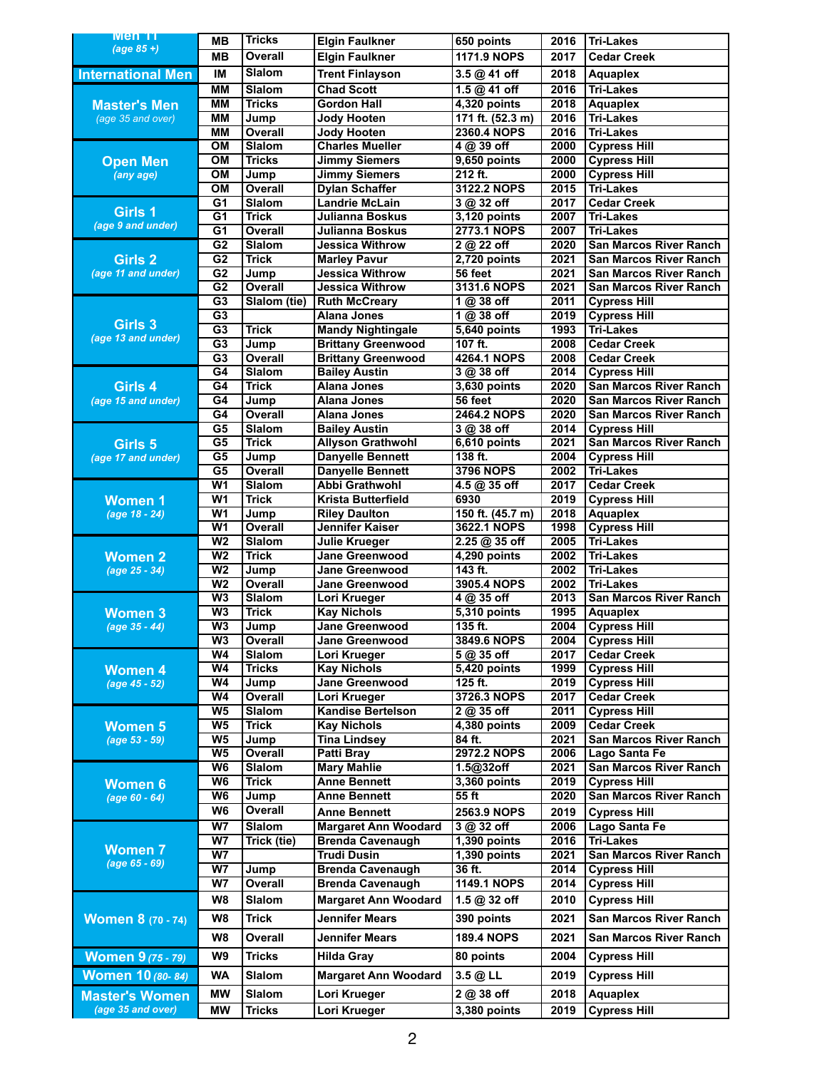| Men 11                   | <b>MB</b>                        | <b>Tricks</b>                   | <b>Elgin Faulkner</b>                            | 650 points                 | 2016         | <b>Tri-Lakes</b>                                     |
|--------------------------|----------------------------------|---------------------------------|--------------------------------------------------|----------------------------|--------------|------------------------------------------------------|
| $(age 85 +)$             | <b>MB</b>                        | <b>Overall</b>                  | <b>Elgin Faulkner</b>                            | 1171.9 NOPS                | 2017         | <b>Cedar Creek</b>                                   |
| <b>International Men</b> | IM                               | <b>Slalom</b>                   | <b>Trent Finlayson</b>                           | 3.5 @ 41 off               | 2018         | <b>Aquaplex</b>                                      |
|                          | <b>MM</b>                        | <b>Slalom</b>                   | <b>Chad Scott</b>                                | 1.5 @ 41 off               | 2016         | <b>Tri-Lakes</b>                                     |
| <b>Master's Men</b>      | <b>MM</b>                        | <b>Tricks</b>                   | <b>Gordon Hall</b>                               | 4,320 points               | 2018         | <b>Aquaplex</b>                                      |
| (age 35 and over)        | <b>MM</b>                        | Jump                            | <b>Jody Hooten</b>                               | 171 ft. (52.3 m)           | 2016         | <b>Tri-Lakes</b>                                     |
|                          | <b>MM</b>                        | <b>Overall</b>                  | <b>Jody Hooten</b>                               | <b>2360.4 NOPS</b>         | 2016         | <b>Tri-Lakes</b>                                     |
|                          | <b>OM</b>                        | <b>Slalom</b>                   | <b>Charles Mueller</b>                           | 4 @ 39 off                 | 2000         | <b>Cypress Hill</b>                                  |
| <b>Open Men</b>          | $\overline{OM}$                  | <b>Tricks</b>                   | <b>Jimmy Siemers</b>                             | 9,650 points               | 2000         | <b>Cypress Hill</b>                                  |
| (any age)                | OM                               | Jump                            | <b>Jimmy Siemers</b>                             | 212 ft.                    | 2000         | <b>Cypress Hill</b>                                  |
|                          | OM                               | <b>Overall</b>                  | <b>Dylan Schaffer</b>                            | 3122.2 NOPS                | 2015         | <b>Tri-Lakes</b>                                     |
|                          | G <sub>1</sub>                   | <b>Slalom</b>                   | <b>Landrie McLain</b>                            | 3 @ 32 off                 | 2017         | <b>Cedar Creek</b>                                   |
| Girls 1                  | $\overline{G1}$                  | <b>Trick</b>                    | <b>Julianna Boskus</b>                           | 3,120 points               | 2007         | <b>Tri-Lakes</b>                                     |
| (age 9 and under)        | $\overline{G1}$                  | <b>Overall</b>                  | Julianna Boskus                                  | <b>2773.1 NOPS</b>         | 2007         | <b>Tri-Lakes</b>                                     |
|                          | G <sub>2</sub>                   | <b>Slalom</b>                   | <b>Jessica Withrow</b>                           | 2 @ 22 off                 | 2020         | <b>San Marcos River Ranch</b>                        |
| Girls 2                  | G <sub>2</sub>                   | <b>Trick</b>                    | <b>Marley Pavur</b>                              | 2,720 points               | 2021         | <b>San Marcos River Ranch</b>                        |
| (age 11 and under)       | $\overline{G2}$                  | Jump                            | <b>Jessica Withrow</b>                           | 56 feet                    | 2021         | <b>San Marcos River Ranch</b>                        |
|                          | G2                               | <b>Overall</b>                  | <b>Jessica Withrow</b>                           | 3131.6 NOPS                | 2021         | <b>San Marcos River Ranch</b>                        |
|                          | $\overline{G3}$                  | Slalom (tie)                    | <b>Ruth McCreary</b>                             | 1 @ 38 off                 | 2011         | <b>Cypress Hill</b>                                  |
| Girls 3                  | G3                               |                                 | <b>Alana Jones</b>                               | 1 @ 38 off                 | 2019         | <b>Cypress Hill</b>                                  |
| (age 13 and under)       | $\overline{G3}$                  | <b>Trick</b>                    | <b>Mandy Nightingale</b>                         | 5,640 points               | 1993         | <b>Tri-Lakes</b>                                     |
|                          | $\overline{G3}$                  | Jump                            | <b>Brittany Greenwood</b>                        | 107 ft.                    | 2008         | <b>Cedar Creek</b>                                   |
|                          | $\overline{G3}$                  | <b>Overall</b>                  | <b>Brittany Greenwood</b>                        | 4264.1 NOPS                | 2008         | <b>Cedar Creek</b>                                   |
|                          | G4                               | <b>Slalom</b>                   | <b>Bailey Austin</b>                             | 3 @ 38 off                 | 2014         | <b>Cypress Hill</b>                                  |
| Girls 4                  | G4                               | <b>Trick</b>                    | <b>Alana Jones</b>                               | 3,630 points               | 2020         | <b>San Marcos River Ranch</b>                        |
| (age 15 and under)       | G4<br>$\overline{G4}$            | Jump                            | <b>Alana Jones</b>                               | 56 feet                    | 2020<br>2020 | <b>San Marcos River Ranch</b>                        |
|                          | G5                               | <b>Overall</b><br><b>Slalom</b> | <b>Alana Jones</b>                               | <b>2464.2 NOPS</b>         |              | <b>San Marcos River Ranch</b>                        |
|                          | G5                               | <b>Trick</b>                    | <b>Bailey Austin</b><br><b>Allyson Grathwohl</b> | 3 @ 38 off<br>6,610 points | 2014<br>2021 | <b>Cypress Hill</b><br><b>San Marcos River Ranch</b> |
| Girls 5                  | G5                               | Jump                            | <b>Danyelle Bennett</b>                          | 138 ft.                    | 2004         | <b>Cypress Hill</b>                                  |
| (age 17 and under)       | G5                               | <b>Overall</b>                  | <b>Danyelle Bennett</b>                          | <b>3796 NOPS</b>           | 2002         | <b>Tri-Lakes</b>                                     |
|                          | W <sub>1</sub>                   | <b>Slalom</b>                   | <b>Abbi Grathwohl</b>                            | 4.5 @ 35 off               | 2017         | <b>Cedar Creek</b>                                   |
| <b>Women 1</b>           | $\overline{W}$                   | <b>Trick</b>                    | <b>Krista Butterfield</b>                        | 6930                       | 2019         | <b>Cypress Hill</b>                                  |
| (age 18 - 24)            | $\overline{W}$                   | Jump                            | <b>Riley Daulton</b>                             | 150 ft. (45.7 m)           | 2018         | <b>Aquaplex</b>                                      |
|                          | $\overline{W}$                   | <b>Overall</b>                  | <b>Jennifer Kaiser</b>                           | 3622.1 NOPS                | 1998         | <b>Cypress Hill</b>                                  |
|                          | W <sub>2</sub>                   | <b>Slalom</b>                   | <b>Julie Krueger</b>                             | $2.25@35$ off              | 2005         | <b>Tri-Lakes</b>                                     |
| <b>Women 2</b>           | $\overline{W2}$                  | <b>Trick</b>                    | <b>Jane Greenwood</b>                            | 4,290 points               | 2002         | <b>Tri-Lakes</b>                                     |
| (age 25 - 34)            | W <sub>2</sub>                   | Jump                            | <b>Jane Greenwood</b>                            | 143 ft.                    | 2002         | <b>Tri-Lakes</b>                                     |
|                          | $\overline{W2}$                  | <b>Overall</b>                  | <b>Jane Greenwood</b>                            | 3905.4 NOPS                | 2002         | <b>Tri-Lakes</b>                                     |
|                          | W3                               | Slalom                          | Lori Krueger                                     | 4 @ 35 off                 | 2013         | <b>San Marcos River Ranch</b>                        |
| <b>Women 3</b>           | $\overline{W3}$                  | <b>Trick</b>                    | <b>Kay Nichols</b>                               | $5,310$ points             | 1995         | <b>Aquaplex</b>                                      |
| (age 35 - 44)            | $\overline{W3}$                  | Jump                            | <b>Jane Greenwood</b>                            | 135 ft.                    | 2004         | <b>Cypress Hill</b>                                  |
|                          | $W_3$                            | <b>Overall</b>                  | <b>Jane Greenwood</b>                            | 3849.6 NOPS                | 2004         | <b>Cypress Hill</b>                                  |
|                          | W4                               | <b>Slalom</b>                   | Lori Krueger                                     | 5 @ 35 off                 | 2017         | <b>Cedar Creek</b>                                   |
| <b>Women 4</b>           | W <sub>4</sub>                   | <b>Tricks</b>                   | <b>Kay Nichols</b>                               | 5,420 points               | 1999         | <b>Cypress Hill</b>                                  |
| (age 45 - 52)            | W <sub>4</sub>                   | Jump                            | <b>Jane Greenwood</b>                            | 125 ft.                    | 2019         | <b>Cypress Hill</b>                                  |
|                          | W <sub>4</sub>                   | <b>Overall</b>                  | Lori Krueger                                     | 3726.3 NOPS                | 2017         | <b>Cedar Creek</b>                                   |
|                          | W <sub>5</sub><br>W <sub>5</sub> | <b>Slalom</b><br><b>Trick</b>   | <b>Kandise Bertelson</b><br><b>Kay Nichols</b>   | 2 @ 35 off<br>4,380 points | 2011<br>2009 | <b>Cypress Hill</b><br><b>Cedar Creek</b>            |
| <b>Women 5</b>           | W <sub>5</sub>                   | Jump                            | <b>Tina Lindsey</b>                              | 84 ft.                     | 2021         | <b>San Marcos River Ranch</b>                        |
| (age 53 - 59)            | W <sub>5</sub>                   | <b>Overall</b>                  | <b>Patti Bray</b>                                | <b>2972.2 NOPS</b>         | 2006         | Lago Santa Fe                                        |
|                          | W <sub>6</sub>                   | <b>Slalom</b>                   | <b>Mary Mahlie</b>                               | 1.5@32off                  | 2021         | <b>San Marcos River Ranch</b>                        |
| <b>Women 6</b>           | W6                               | <b>Trick</b>                    | <b>Anne Bennett</b>                              | 3,360 points               | 2019         | <b>Cypress Hill</b>                                  |
| (age $60 - 64$ )         | W6                               | Jump                            | <b>Anne Bennett</b>                              | 55 ft                      | 2020         | <b>San Marcos River Ranch</b>                        |
|                          | W <sub>6</sub>                   | <b>Overall</b>                  | <b>Anne Bennett</b>                              | 2563.9 NOPS                | 2019         | <b>Cypress Hill</b>                                  |
|                          | W <sub>7</sub>                   | <b>Slalom</b>                   | <b>Margaret Ann Woodard</b>                      | 3 @ 32 off                 | 2006         | <b>Lago Santa Fe</b>                                 |
|                          | $\overline{W}$                   | Trick (tie)                     | <b>Brenda Cavenaugh</b>                          | 1,390 points               | 2016         | <b>Tri-Lakes</b>                                     |
| <b>Women 7</b>           | $\overline{W}$                   |                                 | <b>Trudi Dusin</b>                               | 1,390 points               | 2021         | <b>San Marcos River Ranch</b>                        |
| (age 65 - 69)            | W7                               | Jump                            | <b>Brenda Cavenaugh</b>                          | $36$ ft.                   | 2014         | <b>Cypress Hill</b>                                  |
|                          | W <sub>7</sub>                   | Overall                         | <b>Brenda Cavenaugh</b>                          | 1149.1 NOPS                | 2014         | <b>Cypress Hill</b>                                  |
|                          | W8                               | <b>Slalom</b>                   | <b>Margaret Ann Woodard</b>                      | 1.5 @ 32 off               | 2010         | <b>Cypress Hill</b>                                  |
|                          |                                  |                                 |                                                  |                            |              |                                                      |
| <b>Women 8 (70 - 74)</b> | W8                               | <b>Trick</b>                    | <b>Jennifer Mears</b>                            | 390 points                 | 2021         | <b>San Marcos River Ranch</b>                        |
|                          | W8                               | Overall                         | <b>Jennifer Mears</b>                            | <b>189.4 NOPS</b>          | 2021         | <b>San Marcos River Ranch</b>                        |
| <b>Women 9 (75 - 79)</b> | W9                               | <b>Tricks</b>                   | <b>Hilda Gray</b>                                | 80 points                  | 2004         | <b>Cypress Hill</b>                                  |
| Women 10 (80- 84)        | <b>WA</b>                        | <b>Slalom</b>                   | <b>Margaret Ann Woodard</b>                      | 3.5 @ LL                   | 2019         | <b>Cypress Hill</b>                                  |
|                          |                                  |                                 |                                                  |                            |              |                                                      |
| <b>Master's Women</b>    | <b>MW</b>                        | Slalom                          | Lori Krueger                                     | 2 @ 38 off                 | 2018         | <b>Aquaplex</b>                                      |
| (age 35 and over)        | <b>MW</b>                        | <b>Tricks</b>                   | Lori Krueger                                     | 3,380 points               | 2019         | <b>Cypress Hill</b>                                  |